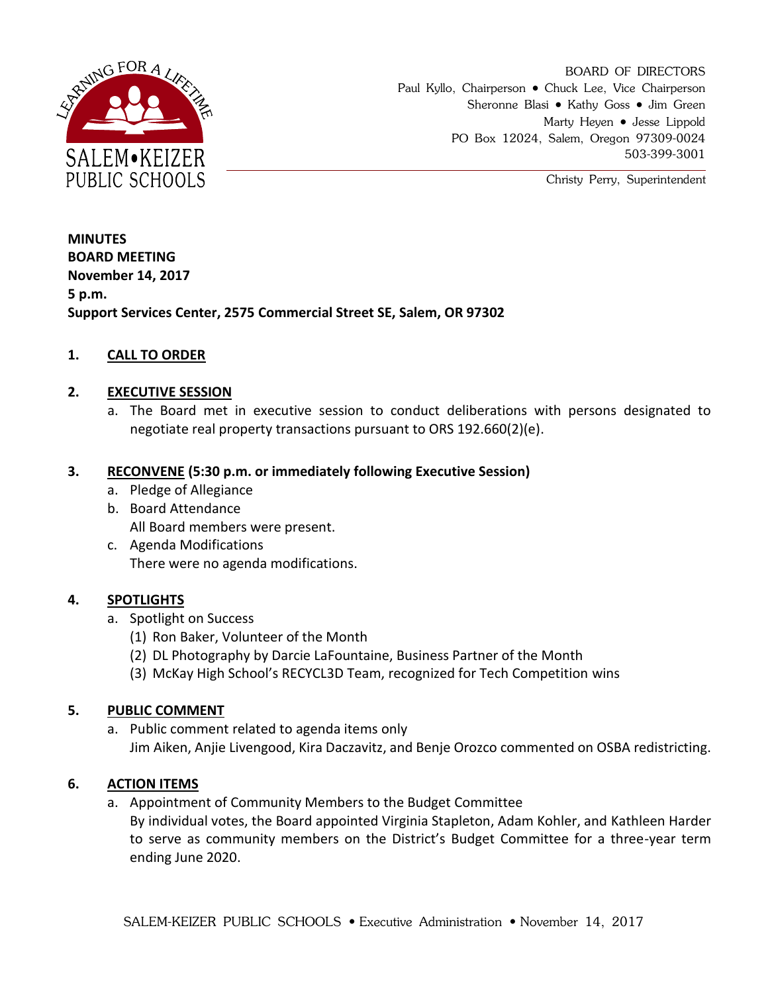

BOARD OF DIRECTORS Paul Kyllo, Chairperson • Chuck Lee, Vice Chairperson Sheronne Blasi • Kathy Goss • Jim Green Marty Heyen • Jesse Lippold PO Box 12024, Salem, Oregon 97309-0024 503-399-3001

Christy Perry, Superintendent

**MINUTES BOARD MEETING November 14, 2017 5 p.m. Support Services Center, 2575 Commercial Street SE, Salem, OR 97302**

### **1. CALL TO ORDER**

#### **2. EXECUTIVE SESSION**

a. The Board met in executive session to conduct deliberations with persons designated to negotiate real property transactions pursuant to ORS 192.660(2)(e).

#### **3. RECONVENE (5:30 p.m. or immediately following Executive Session)**

- a. Pledge of Allegiance
- b. Board Attendance All Board members were present.
- c. Agenda Modifications There were no agenda modifications.

### **4. SPOTLIGHTS**

- a. Spotlight on Success
	- (1) Ron Baker, Volunteer of the Month
	- (2) DL Photography by Darcie LaFountaine, Business Partner of the Month
	- (3) McKay High School's RECYCL3D Team, recognized for Tech Competition wins

#### **5. PUBLIC COMMENT**

a. Public comment related to agenda items only Jim Aiken, Anjie Livengood, Kira Daczavitz, and Benje Orozco commented on OSBA redistricting.

#### **6. ACTION ITEMS**

a. Appointment of Community Members to the Budget Committee

By individual votes, the Board appointed Virginia Stapleton, Adam Kohler, and Kathleen Harder to serve as community members on the District's Budget Committee for a three-year term ending June 2020.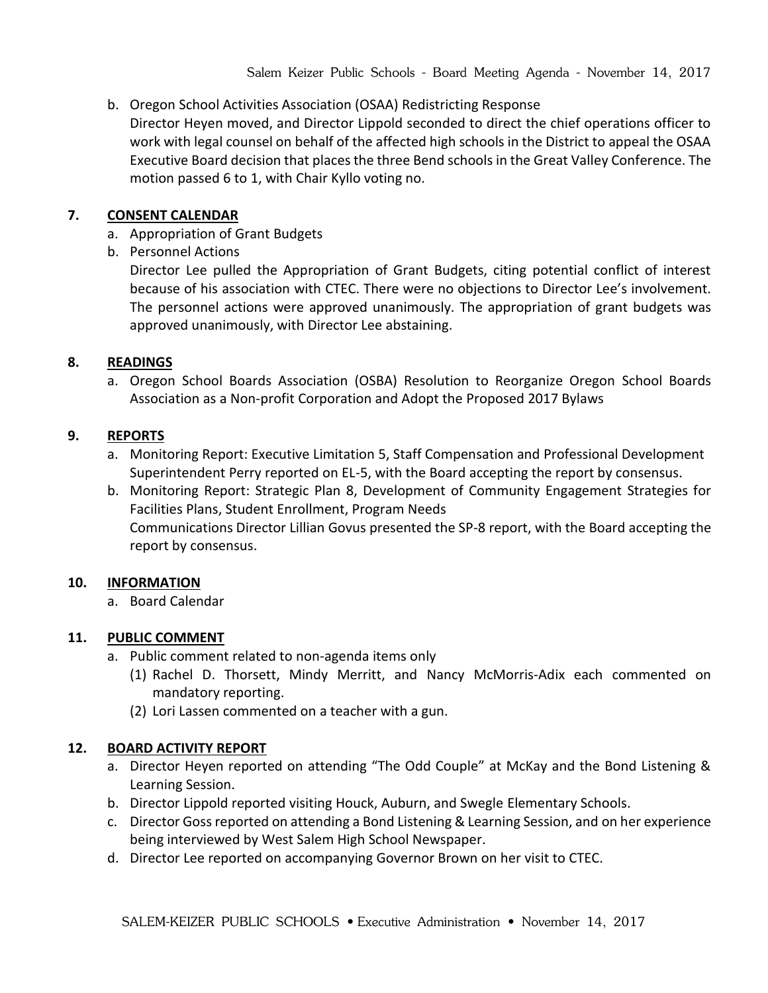# b. Oregon School Activities Association (OSAA) Redistricting Response

Director Heyen moved, and Director Lippold seconded to direct the chief operations officer to work with legal counsel on behalf of the affected high schools in the District to appeal the OSAA Executive Board decision that places the three Bend schools in the Great Valley Conference. The motion passed 6 to 1, with Chair Kyllo voting no.

## **7. CONSENT CALENDAR**

- a. Appropriation of Grant Budgets
- b. Personnel Actions

Director Lee pulled the Appropriation of Grant Budgets, citing potential conflict of interest because of his association with CTEC. There were no objections to Director Lee's involvement. The personnel actions were approved unanimously. The appropriation of grant budgets was approved unanimously, with Director Lee abstaining.

# **8. READINGS**

a. Oregon School Boards Association (OSBA) Resolution to Reorganize Oregon School Boards Association as a Non-profit Corporation and Adopt the Proposed 2017 Bylaws

### **9. REPORTS**

- a. Monitoring Report: Executive Limitation 5, Staff Compensation and Professional Development Superintendent Perry reported on EL-5, with the Board accepting the report by consensus.
- b. Monitoring Report: Strategic Plan 8, Development of Community Engagement Strategies for Facilities Plans, Student Enrollment, Program Needs Communications Director Lillian Govus presented the SP-8 report, with the Board accepting the report by consensus.

# **10. INFORMATION**

a. Board Calendar

# **11. PUBLIC COMMENT**

- a. Public comment related to non-agenda items only
	- (1) Rachel D. Thorsett, Mindy Merritt, and Nancy McMorris-Adix each commented on mandatory reporting.
	- (2) Lori Lassen commented on a teacher with a gun.

# **12. BOARD ACTIVITY REPORT**

- a. Director Heyen reported on attending "The Odd Couple" at McKay and the Bond Listening & Learning Session.
- b. Director Lippold reported visiting Houck, Auburn, and Swegle Elementary Schools.
- c. Director Goss reported on attending a Bond Listening & Learning Session, and on her experience being interviewed by West Salem High School Newspaper.
- d. Director Lee reported on accompanying Governor Brown on her visit to CTEC.